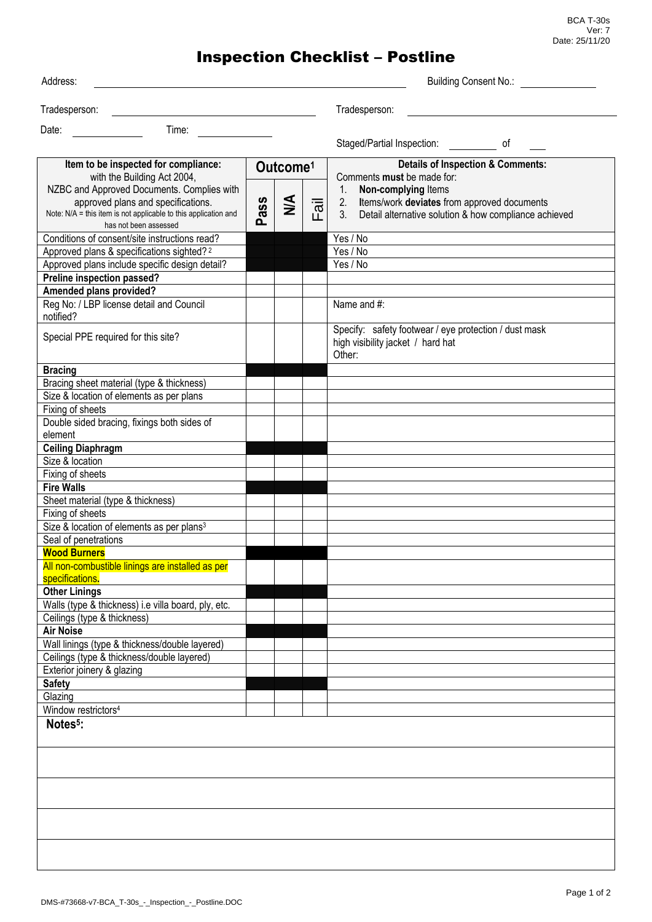BCA T-30s Ver: 7 Date: 25/11/20

## Inspection Checklist – Postline

| Address:                                                                                     |      |                      |   | <b>Building Consent No.:</b>                                                                         |
|----------------------------------------------------------------------------------------------|------|----------------------|---|------------------------------------------------------------------------------------------------------|
|                                                                                              |      |                      |   |                                                                                                      |
| Tradesperson:                                                                                |      |                      |   | Tradesperson:                                                                                        |
| Date:<br>Time:                                                                               |      |                      |   |                                                                                                      |
|                                                                                              |      |                      |   | Staged/Partial Inspection: of                                                                        |
| Item to be inspected for compliance:<br>with the Building Act 2004,                          |      | Outcome <sup>1</sup> |   | <b>Details of Inspection &amp; Comments:</b><br>Comments must be made for:                           |
| NZBC and Approved Documents. Complies with                                                   |      |                      |   | Non-complying Items<br>1.                                                                            |
| approved plans and specifications.                                                           |      | $\leq$               |   | 2.<br>Items/work deviates from approved documents                                                    |
| Note: N/A = this item is not applicable to this application and<br>has not been assessed     | Pass |                      | ப | 3.<br>Detail alternative solution & how compliance achieved                                          |
| Conditions of consent/site instructions read?                                                |      |                      |   | Yes / No                                                                                             |
| Approved plans & specifications sighted? <sup>2</sup>                                        |      |                      |   | Yes / No                                                                                             |
| Approved plans include specific design detail?                                               |      |                      |   | Yes / No                                                                                             |
| Preline inspection passed?                                                                   |      |                      |   |                                                                                                      |
| Amended plans provided?                                                                      |      |                      |   |                                                                                                      |
| Reg No: / LBP license detail and Council<br>notified?                                        |      |                      |   | Name and #:                                                                                          |
| Special PPE required for this site?                                                          |      |                      |   | Specify: safety footwear / eye protection / dust mask<br>high visibility jacket / hard hat<br>Other: |
| <b>Bracing</b>                                                                               |      |                      |   |                                                                                                      |
| Bracing sheet material (type & thickness)                                                    |      |                      |   |                                                                                                      |
| Size & location of elements as per plans                                                     |      |                      |   |                                                                                                      |
| Fixing of sheets                                                                             |      |                      |   |                                                                                                      |
| Double sided bracing, fixings both sides of<br>element                                       |      |                      |   |                                                                                                      |
| <b>Ceiling Diaphragm</b>                                                                     |      |                      |   |                                                                                                      |
| Size & location                                                                              |      |                      |   |                                                                                                      |
| Fixing of sheets                                                                             |      |                      |   |                                                                                                      |
| <b>Fire Walls</b><br>Sheet material (type & thickness)                                       |      |                      |   |                                                                                                      |
| Fixing of sheets                                                                             |      |                      |   |                                                                                                      |
| Size & location of elements as per plans <sup>3</sup>                                        |      |                      |   |                                                                                                      |
| Seal of penetrations                                                                         |      |                      |   |                                                                                                      |
| <b>Wood Burners</b>                                                                          |      |                      |   |                                                                                                      |
| All non-combustible linings are installed as per<br>specifications.                          |      |                      |   |                                                                                                      |
| <b>Other Linings</b>                                                                         |      |                      |   |                                                                                                      |
| Walls (type & thickness) i.e villa board, ply, etc.                                          |      |                      |   |                                                                                                      |
| Ceilings (type & thickness)                                                                  |      |                      |   |                                                                                                      |
| <b>Air Noise</b>                                                                             |      |                      |   |                                                                                                      |
| Wall linings (type & thickness/double layered)<br>Ceilings (type & thickness/double layered) |      |                      |   |                                                                                                      |
| Exterior joinery & glazing                                                                   |      |                      |   |                                                                                                      |
| <b>Safety</b>                                                                                |      |                      |   |                                                                                                      |
| Glazing                                                                                      |      |                      |   |                                                                                                      |
| Window restrictors <sup>4</sup>                                                              |      |                      |   |                                                                                                      |
| Notes <sup>5</sup> :                                                                         |      |                      |   |                                                                                                      |
|                                                                                              |      |                      |   |                                                                                                      |
|                                                                                              |      |                      |   |                                                                                                      |
|                                                                                              |      |                      |   |                                                                                                      |
|                                                                                              |      |                      |   |                                                                                                      |
|                                                                                              |      |                      |   |                                                                                                      |